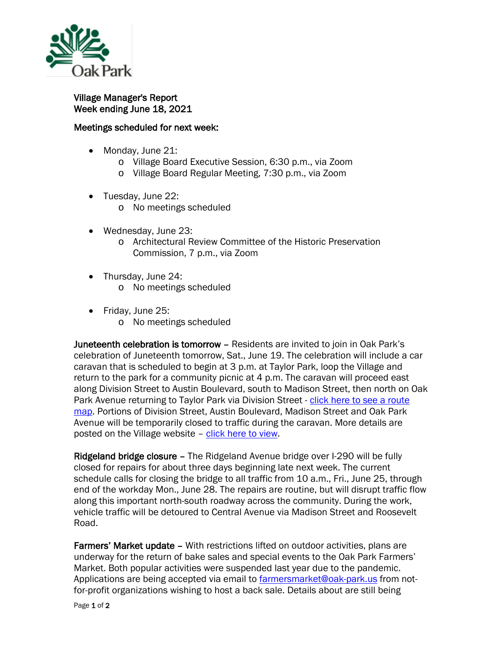

Village Manager's Report Week ending June 18, 2021

## Meetings scheduled for next week:

- Monday, June 21:
	- o Village Board Executive Session, 6:30 p.m., via Zoom
	- o Village Board Regular Meeting, 7:30 p.m., via Zoom
- Tuesday, June 22:
	- o No meetings scheduled
- Wednesday, June 23:
	- o Architectural Review Committee of the Historic Preservation Commission, 7 p.m., via Zoom
- Thursday, June 24:
	- o No meetings scheduled
- Friday, June 25:
	- o No meetings scheduled

Juneteenth celebration is tomorrow – Residents are invited to join in Oak Park's celebration of Juneteenth tomorrow, Sat., June 19. The celebration will include a car caravan that is scheduled to begin at 3 p.m. at Taylor Park, loop the Village and return to the park for a community picnic at 4 p.m. The caravan will proceed east along Division Street to Austin Boulevard, south to Madison Street, then north on Oak Park Avenue returning to Taylor Park via Division Street - [click here to see a route](https://www.oak-park.us/sites/default/files/456678891/2021-06-15-juneteenth_car_caravan_route.pdf)  [map.](https://www.oak-park.us/sites/default/files/456678891/2021-06-15-juneteenth_car_caravan_route.pdf) Portions of Division Street, Austin Boulevard, Madison Street and Oak Park Avenue will be temporarily closed to traffic during the caravan. More details are posted on the Village website - [click here to view.](https://www.oak-park.us/news/car-caravan-picnic-highlight-juneteenth-celebration)

Ridgeland bridge closure - The Ridgeland Avenue bridge over I-290 will be fully closed for repairs for about three days beginning late next week. The current schedule calls for closing the bridge to all traffic from 10 a.m., Fri., June 25, through end of the workday Mon., June 28. The repairs are routine, but will disrupt traffic flow along this important north-south roadway across the community. During the work, vehicle traffic will be detoured to Central Avenue via Madison Street and Roosevelt Road.

Farmers' Market update – With restrictions lifted on outdoor activities, plans are underway for the return of bake sales and special events to the Oak Park Farmers' Market. Both popular activities were suspended last year due to the pandemic. Applications are being accepted via email to [farmersmarket@oak-park.us](mailto:farmersmarket@oak-park.us) from notfor-profit organizations wishing to host a back sale. Details about are still being